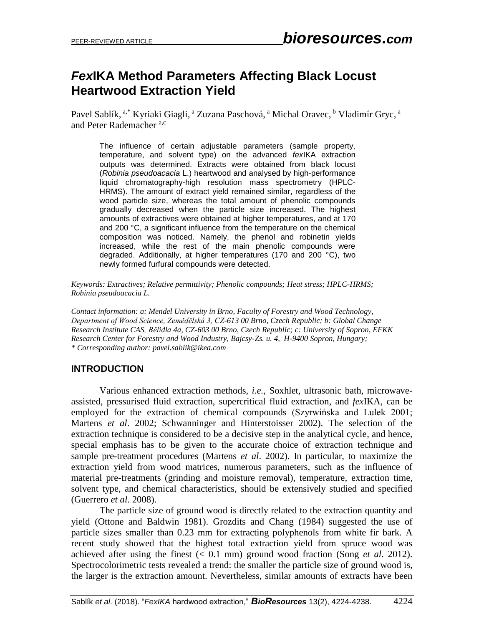# *Fex***IKA Method Parameters Affecting Black Locust Heartwood Extraction Yield**

Pavel Sablík, <sup>a,\*</sup> Kyriaki Giagli, <sup>a</sup> Zuzana Paschová, <sup>a</sup> Michal Oravec, <sup>b</sup> Vladimír Gryc, <sup>a</sup> and Peter Rademacher<sup>a,c</sup>

The influence of certain adjustable parameters (sample property, temperature, and solvent type) on the advanced *fex*IKA extraction outputs was determined. Extracts were obtained from black locust (*Robinia pseudoacacia* L.) heartwood and analysed by high-performance liquid chromatography-high resolution mass spectrometry (HPLC-HRMS). The amount of extract yield remained similar, regardless of the wood particle size, whereas the total amount of phenolic compounds gradually decreased when the particle size increased. The highest amounts of extractives were obtained at higher temperatures, and at 170 and 200 °C, a significant influence from the temperature on the chemical composition was noticed. Namely, the phenol and robinetin yields increased, while the rest of the main phenolic compounds were degraded. Additionally, at higher temperatures (170 and 200 °C), two newly formed furfural compounds were detected.

*Keywords: Extractives; Relative permittivity; Phenolic compounds; Heat stress; HPLC-HRMS; Robinia pseudoacacia L.*

*Contact information: a: Mendel University in Brno, Faculty of Forestry and Wood Technology, Department of Wood Science, Zemědělská 3, CZ-613 00 Brno, Czech Republic; b: Global Change Research Institute CAS, Bělidla 4a, CZ-603 00 Brno, Czech Republic; c: University of Sopron, EFKK Research Center for Forestry and Wood Industry, Bajcsy-Zs. u. 4, H-9400 Sopron, Hungary; \* Corresponding author: pavel.sablik@ikea.com*

# **INTRODUCTION**

Various enhanced extraction methods, *i.e.*, Soxhlet, ultrasonic bath, microwaveassisted, pressurised fluid extraction, supercritical fluid extraction, and *fex*IKA, can be employed for the extraction of chemical compounds (Szyrwińska and Lulek 2001; Martens *et al*. 2002; Schwanninger and Hinterstoisser 2002). The selection of the extraction technique is considered to be a decisive step in the analytical cycle, and hence, special emphasis has to be given to the accurate choice of extraction technique and sample pre-treatment procedures (Martens *et al*. 2002). In particular, to maximize the extraction yield from wood matrices, numerous parameters, such as the influence of material pre-treatments (grinding and moisture removal), temperature, extraction time, solvent type, and chemical characteristics, should be extensively studied and specified (Guerrero *et al*. 2008).

The particle size of ground wood is directly related to the extraction quantity and yield (Ottone and Baldwin 1981). Grozdits and Chang (1984) suggested the use of particle sizes smaller than 0.23 mm for extracting polyphenols from white fir bark. A recent study showed that the highest total extraction yield from spruce wood was achieved after using the finest (< 0.1 mm) ground wood fraction (Song *et al*. 2012). Spectrocolorimetric tests revealed a trend: the smaller the particle size of ground wood is, the larger is the extraction amount. Nevertheless, similar amounts of extracts have been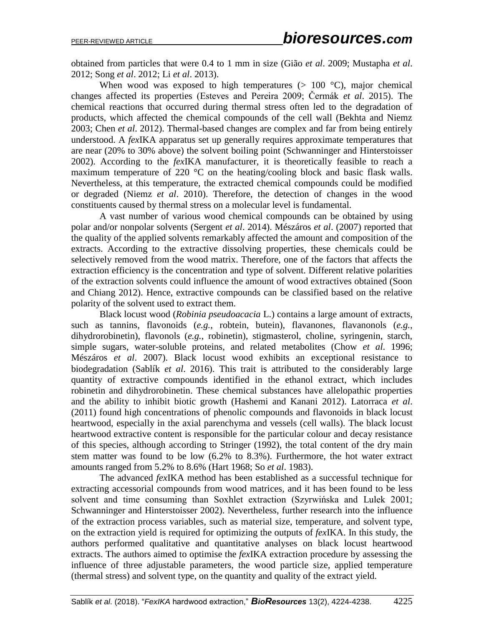obtained from particles that were 0.4 to 1 mm in size (Gião *et al*. 2009; Mustapha *et al*. 2012; Song *et al*. 2012; Li *et al*. 2013).

When wood was exposed to high temperatures  $(> 100 \degree C)$ , major chemical changes affected its properties (Esteves and Pereira 2009; Čermák *et al*. 2015). The chemical reactions that occurred during thermal stress often led to the degradation of products, which affected the chemical compounds of the cell wall (Bekhta and Niemz 2003; Chen *et al*. 2012). Thermal-based changes are complex and far from being entirely understood. A *fex*IKA apparatus set up generally requires approximate temperatures that are near (20% to 30% above) the solvent boiling point (Schwanninger and Hinterstoisser 2002). According to the *fex*IKA manufacturer, it is theoretically feasible to reach a maximum temperature of 220 °C on the heating/cooling block and basic flask walls. Nevertheless, at this temperature, the extracted chemical compounds could be modified or degraded (Niemz *et al*. 2010). Therefore, the detection of changes in the wood constituents caused by thermal stress on a molecular level is fundamental.

A vast number of various wood chemical compounds can be obtained by using polar and/or nonpolar solvents (Sergent *et al*. 2014). Mészáros *et al*. (2007) reported that the quality of the applied solvents remarkably affected the amount and composition of the extracts. According to the extractive dissolving properties, these chemicals could be selectively removed from the wood matrix. Therefore, one of the factors that affects the extraction efficiency is the concentration and type of solvent. Different relative polarities of the extraction solvents could influence the amount of wood extractives obtained (Soon and Chiang 2012). Hence, extractive compounds can be classified based on the relative polarity of the solvent used to extract them.

Black locust wood (*Robinia pseudoacacia* L.) contains a large amount of extracts, such as tannins, flavonoids (*e.g.*, robtein, butein), flavanones, flavanonols (*e.g.*, dihydrorobinetin), flavonols (*e.g.*, robinetin), stigmasterol, choline, syringenin, starch, simple sugars, water-soluble proteins, and related metabolites (Chow *et al*. 1996; Mészáros *et al*. 2007). Black locust wood exhibits an exceptional resistance to biodegradation (Sablík *et al*. 2016). This trait is attributed to the considerably large quantity of extractive compounds identified in the ethanol extract, which includes robinetin and dihydrorobinetin. These chemical substances have allelopathic properties and the ability to inhibit biotic growth (Hashemi and Kanani 2012). Latorraca *et al*. (2011) found high concentrations of phenolic compounds and flavonoids in black locust heartwood, especially in the axial parenchyma and vessels (cell walls). The black locust heartwood extractive content is responsible for the particular colour and decay resistance of this species, although according to Stringer (1992), the total content of the dry main stem matter was found to be low (6.2% to 8.3%). Furthermore, the hot water extract amounts ranged from 5.2% to 8.6% (Hart 1968; So *et al*. 1983).

The advanced *fex*IKA method has been established as a successful technique for extracting accessorial compounds from wood matrices, and it has been found to be less solvent and time consuming than Soxhlet extraction (Szyrwińska and Lulek 2001; Schwanninger and Hinterstoisser 2002). Nevertheless, further research into the influence of the extraction process variables, such as material size, temperature, and solvent type, on the extraction yield is required for optimizing the outputs of *fex*IKA. In this study, the authors performed qualitative and quantitative analyses on black locust heartwood extracts. The authors aimed to optimise the *fex*IKA extraction procedure by assessing the influence of three adjustable parameters, the wood particle size, applied temperature (thermal stress) and solvent type, on the quantity and quality of the extract yield.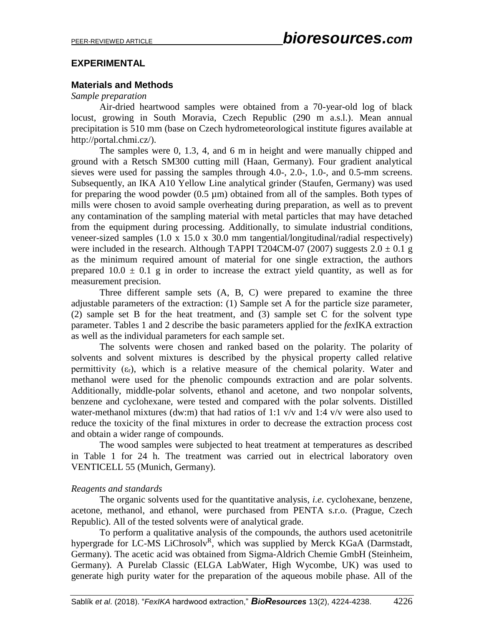#### **EXPERIMENTAL**

#### **Materials and Methods**

#### *Sample preparation*

Air-dried heartwood samples were obtained from a 70-year-old log of black locust, growing in South Moravia, Czech Republic (290 m a.s.l.). Mean annual precipitation is 510 mm (base on Czech hydrometeorological institute figures available at http://portal.chmi.cz/).

The samples were 0, 1.3, 4, and 6 m in height and were manually chipped and ground with a Retsch SM300 cutting mill (Haan, Germany). Four gradient analytical sieves were used for passing the samples through 4.0-, 2.0-, 1.0-, and 0.5-mm screens. Subsequently, an IKA A10 Yellow Line analytical grinder (Staufen, Germany) was used for preparing the wood powder  $(0.5 \mu m)$  obtained from all of the samples. Both types of mills were chosen to avoid sample overheating during preparation, as well as to prevent any contamination of the sampling material with metal particles that may have detached from the equipment during processing. Additionally, to simulate industrial conditions, veneer-sized samples (1.0 x 15.0 x 30.0 mm tangential/longitudinal/radial respectively) were included in the research. Although TAPPI T204CM-07 (2007) suggests  $2.0 \pm 0.1$  g as the minimum required amount of material for one single extraction, the authors prepared  $10.0 \pm 0.1$  g in order to increase the extract yield quantity, as well as for measurement precision.

Three different sample sets (A, B, C) were prepared to examine the three adjustable parameters of the extraction: (1) Sample set A for the particle size parameter, (2) sample set B for the heat treatment, and (3) sample set C for the solvent type parameter. Tables 1 and 2 describe the basic parameters applied for the *fex*IKA extraction as well as the individual parameters for each sample set.

The solvents were chosen and ranked based on the polarity. The polarity of solvents and solvent mixtures is described by the physical property called relative permittivity  $(\epsilon_r)$ , which is a relative measure of the [chemical polarity.](https://en.wikipedia.org/wiki/Chemical_polarity) Water and methanol were used for the phenolic compounds extraction and are polar solvents. Additionally, middle-polar solvents, ethanol and acetone, and two nonpolar solvents, benzene and cyclohexane, were tested and compared with the polar solvents. Distilled water-methanol mixtures (dw:m) that had ratios of 1:1  $v/v$  and 1:4  $v/v$  were also used to reduce the toxicity of the final mixtures in order to decrease the extraction process cost and obtain a wider range of compounds.

The wood samples were subjected to heat treatment at temperatures as described in Table 1 for 24 h. The treatment was carried out in electrical laboratory oven VENTICELL 55 (Munich, Germany).

#### *Reagents and standards*

The organic solvents used for the quantitative analysis, *i.e.* cyclohexane, benzene, acetone, methanol, and ethanol, were purchased from PENTA s.r.o. (Prague, Czech Republic). All of the tested solvents were of analytical grade.

To perform a qualitative analysis of the compounds, the authors used acetonitrile hypergrade for LC-MS LiChrosolv<sup>R</sup>, which was supplied by Merck KGaA (Darmstadt, Germany). The acetic acid was obtained from Sigma-Aldrich Chemie GmbH (Steinheim, Germany). A Purelab Classic (ELGA LabWater, High Wycombe, UK) was used to generate high purity water for the preparation of the aqueous mobile phase. All of the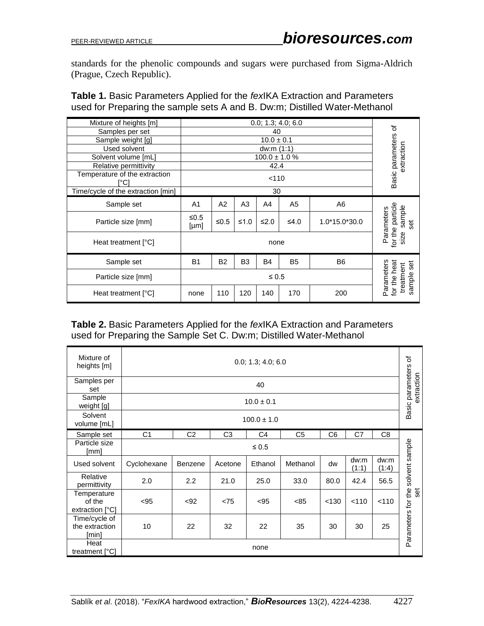standards for the phenolic compounds and sugars were purchased from Sigma-Aldrich (Prague, Czech Republic).

**Table 1.** Basic Parameters Applied for the *fex*IKA Extraction and Parameters used for Preparing the sample sets A and B. Dw:m; Distilled Water-Methanol

| Mixture of heights [m]                | 0.0; 1.3; 4.0; 6.0                      |                |                |                    |                                                   |                | ৳                                               |
|---------------------------------------|-----------------------------------------|----------------|----------------|--------------------|---------------------------------------------------|----------------|-------------------------------------------------|
| Samples per set                       |                                         | 40             |                |                    |                                                   |                |                                                 |
| Sample weight [g]                     |                                         | $10.0 \pm 0.1$ |                |                    |                                                   |                |                                                 |
| Used solvent                          |                                         |                |                | dw:m (1:1)         |                                                   |                |                                                 |
| Solvent volume [mL]                   |                                         |                |                | $100.0 \pm 1.0 \%$ |                                                   |                |                                                 |
| Relative permittivity                 |                                         |                |                | 42.4               |                                                   |                | extraction                                      |
| Temperature of the extraction<br>r°C1 |                                         |                |                | < 110              |                                                   |                | Basic parameters                                |
| Time/cycle of the extraction [min]    |                                         |                |                | 30                 |                                                   |                |                                                 |
| Sample set                            | A <sub>1</sub>                          | A2             | A <sub>3</sub> | A4                 | A5                                                | A <sub>6</sub> |                                                 |
| Particle size [mm]                    | ≤ $0.5$<br>[µm]                         | ≤ $0.5$        | $≤1.0$         | $≤2.0$             | ≤4.0                                              | 1.0*15.0*30.0  | for the particle<br>sample<br>Parameters<br>set |
| Heat treatment [°C]                   |                                         | none           |                |                    |                                                   |                | size                                            |
| Sample set                            | <b>B1</b>                               | <b>B2</b>      | B <sub>3</sub> | <b>B4</b>          | B <sub>5</sub>                                    | B <sub>6</sub> | set                                             |
| Particle size [mm]                    | $\leq 0.5$                              |                |                |                    | Parameters<br>for the heat<br>treatment<br>sample |                |                                                 |
| Heat treatment [°C]                   | 110<br>120<br>140<br>170<br>200<br>none |                |                |                    |                                                   |                |                                                 |

#### **Table 2.** Basic Parameters Applied for the *fex*IKA Extraction and Parameters used for Preparing the Sample Set C. Dw:m; Distilled Water-Methanol

| Mixture of<br>heights [m]                | 0.0; 1.3; 4.0; 6.0 |                                        |                |                |                |       |               |                | $\rm \breve{\sigma}$<br>Basic parameters<br>extraction |
|------------------------------------------|--------------------|----------------------------------------|----------------|----------------|----------------|-------|---------------|----------------|--------------------------------------------------------|
| Samples per<br>set                       | 40                 |                                        |                |                |                |       |               |                |                                                        |
| Sample<br>weight [g]                     |                    | $10.0 \pm 0.1$                         |                |                |                |       |               |                |                                                        |
| Solvent<br>volume [mL]                   |                    | $100.0 \pm 1.0$                        |                |                |                |       |               |                |                                                        |
| Sample set                               | C1                 | C <sub>2</sub>                         | C <sub>3</sub> | C <sub>4</sub> | C <sub>5</sub> | C6    | C7            | C <sub>8</sub> |                                                        |
| Particle size<br>[mm]                    | $≤ 0.5$            |                                        |                |                |                |       |               |                |                                                        |
| Used solvent                             | Cyclohexane        | Benzene                                | Acetone        | Ethanol        | Methanol       | dw    | dw:m<br>(1:1) | dw:m<br>(1:4)  | solvent sample                                         |
| Relative<br>permittivity                 | 2.0                | 2.2                                    | 21.0           | 25.0           | 33.0           | 80.0  | 42.4          | 56.5           |                                                        |
| Temperature<br>of the<br>extraction [°C] | < 95               | < 92                                   | < 75           | < 95           | < 85           | < 130 | < 110         | < 110          | \$                                                     |
| Time/cycle of<br>the extraction<br>[min] | 10                 | 32<br>22<br>35<br>30<br>30<br>25<br>22 |                |                |                |       |               |                | Parameters for the                                     |
| Heat<br>treatment [°C]                   | none               |                                        |                |                |                |       |               |                |                                                        |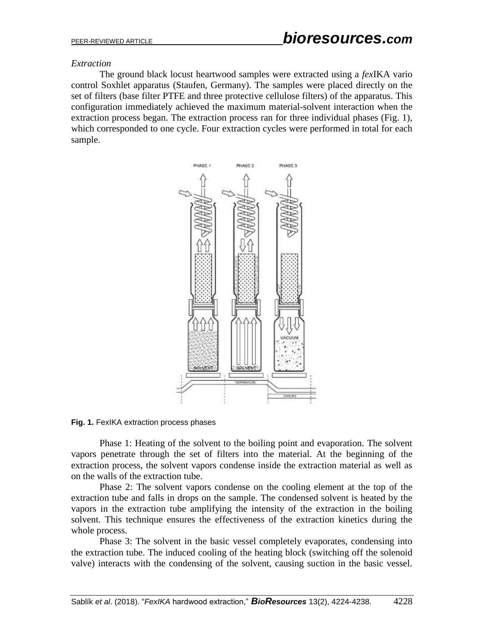#### *Extraction*

The ground black locust heartwood samples were extracted using a *fex*IKA vario control Soxhlet apparatus (Staufen, Germany). The samples were placed directly on the set of filters (base filter PTFE and three protective cellulose filters) of the apparatus. This configuration immediately achieved the maximum material-solvent interaction when the extraction process began. The extraction process ran for three individual phases (Fig. 1), which corresponded to one cycle. Four extraction cycles were performed in total for each sample.



**Fig. 1.** FexIKA extraction process phases

Phase 1: Heating of the solvent to the boiling point and evaporation. The solvent vapors penetrate through the set of filters into the material. At the beginning of the extraction process, the solvent vapors condense inside the extraction material as well as on the walls of the extraction tube.

Phase 2: The solvent vapors condense on the cooling element at the top of the extraction tube and falls in drops on the sample. The condensed solvent is heated by the vapors in the extraction tube amplifying the intensity of the extraction in the boiling solvent. This technique ensures the effectiveness of the extraction kinetics during the whole process.

Phase 3: The solvent in the basic vessel completely evaporates, condensing into the extraction tube. The induced cooling of the heating block (switching off the solenoid valve) interacts with the condensing of the solvent, causing suction in the basic vessel.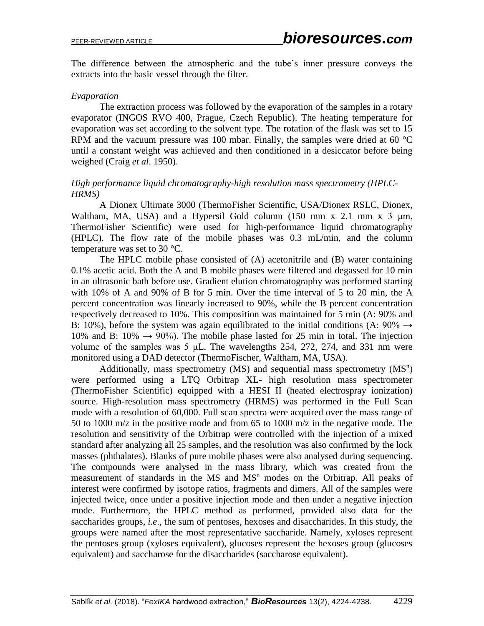The difference between the atmospheric and the tube's inner pressure conveys the extracts into the basic vessel through the filter.

#### *Evaporation*

The extraction process was followed by the evaporation of the samples in a rotary evaporator (INGOS RVO 400, Prague, Czech Republic). The heating temperature for evaporation was set according to the solvent type. The rotation of the flask was set to 15 RPM and the vacuum pressure was 100 mbar. Finally, the samples were dried at 60 °C until a constant weight was achieved and then conditioned in a desiccator before being weighed (Craig *et al*. 1950).

#### *High performance liquid chromatography-high resolution mass spectrometry (HPLC-HRMS)*

A Dionex Ultimate 3000 (ThermoFisher Scientific, USA/Dionex RSLC, Dionex, Waltham, MA, USA) and a Hypersil Gold column  $(150 \text{ mm} \times 2.1 \text{ mm} \times 3 \text{ µm})$ , ThermoFisher Scientific) were used for high-performance liquid chromatography (HPLC). The flow rate of the mobile phases was 0.3 mL/min, and the column temperature was set to 30 °C.

The HPLC mobile phase consisted of (A) acetonitrile and (B) water containing 0.1% acetic acid. Both the A and B mobile phases were filtered and degassed for 10 min in an ultrasonic bath before use. Gradient elution chromatography was performed starting with 10% of A and 90% of B for 5 min. Over the time interval of 5 to 20 min, the A percent concentration was linearly increased to 90%, while the B percent concentration respectively decreased to 10%. This composition was maintained for 5 min (A: 90% and B: 10%), before the system was again equilibrated to the initial conditions (A:  $90\% \rightarrow$ 10% and B: 10%  $\rightarrow$  90%). The mobile phase lasted for 25 min in total. The injection volume of the samples was 5 μL. The wavelengths 254, 272, 274, and 331 nm were monitored using a DAD detector (ThermoFischer, Waltham, MA, USA).

Additionally, mass spectrometry  $(MS)$  and sequential mass spectrometry  $(MS<sup>n</sup>)$ were performed using a LTQ Orbitrap XL- high resolution mass spectrometer (ThermoFisher Scientific) equipped with a HESI II (heated electrospray ionization) source. High-resolution mass spectrometry (HRMS) was performed in the Full Scan mode with a resolution of 60,000. Full scan spectra were acquired over the mass range of 50 to 1000 m/z in the positive mode and from 65 to 1000 m/z in the negative mode. The resolution and sensitivity of the Orbitrap were controlled with the injection of a mixed standard after analyzing all 25 samples, and the resolution was also confirmed by the lock masses (phthalates). Blanks of pure mobile phases were also analysed during sequencing. The compounds were analysed in the mass library, which was created from the measurement of standards in the  $MS$  and  $MS<sup>n</sup>$  modes on the Orbitrap. All peaks of interest were confirmed by isotope ratios, fragments and dimers. All of the samples were injected twice, once under a positive injection mode and then under a negative injection mode. Furthermore, the HPLC method as performed, provided also data for the saccharides groups, *i.e*., the sum of pentoses, hexoses and disaccharides. In this study, the groups were named after the most representative saccharide. Namely, xyloses represent the pentoses group (xyloses equivalent), glucoses represent the hexoses group (glucoses equivalent) and saccharose for the disaccharides (saccharose equivalent).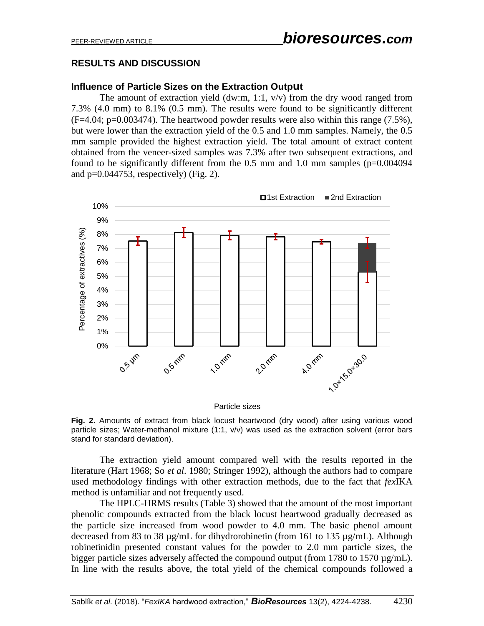# **RESULTS AND DISCUSSION**

#### **Influence of Particle Sizes on the Extraction Output**

The amount of extraction yield (dw:m, 1:1,  $v/v$ ) from the dry wood ranged from 7.3% (4.0 mm) to 8.1% (0.5 mm). The results were found to be significantly different  $(F=4.04; p=0.003474)$ . The heartwood powder results were also within this range (7.5%), but were lower than the extraction yield of the 0.5 and 1.0 mm samples. Namely, the 0.5 mm sample provided the highest extraction yield. The total amount of extract content obtained from the veneer-sized samples was 7.3% after two subsequent extractions, and found to be significantly different from the 0.5 mm and 1.0 mm samples (p=0.004094 and  $p=0.044753$ , respectively) (Fig. 2).



**Fig. 2.** Amounts of extract from black locust heartwood (dry wood) after using various wood particle sizes; Water-methanol mixture (1:1, v/v) was used as the extraction solvent (error bars stand for standard deviation).

The extraction yield amount compared well with the results reported in the literature (Hart 1968; So *et al*. 1980; Stringer 1992), although the authors had to compare used methodology findings with other extraction methods, due to the fact that *fex*IKA method is unfamiliar and not frequently used.

The HPLC-HRMS results (Table 3) showed that the amount of the most important phenolic compounds extracted from the black locust heartwood gradually decreased as the particle size increased from wood powder to 4.0 mm. The basic phenol amount decreased from 83 to 38 µg/mL for dihydrorobinetin (from 161 to 135 µg/mL). Although robinetinidin presented constant values for the powder to 2.0 mm particle sizes, the bigger particle sizes adversely affected the compound output (from 1780 to 1570  $\mu$ g/mL). In line with the results above, the total yield of the chemical compounds followed a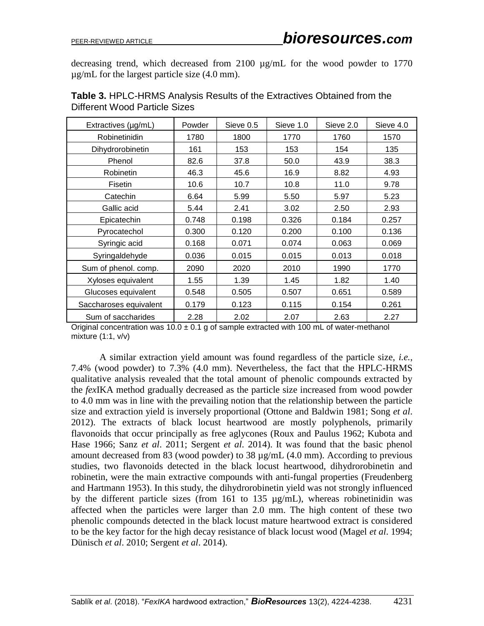decreasing trend, which decreased from 2100 µg/mL for the wood powder to 1770 µg/mL for the largest particle size (4.0 mm).

| Extractives (µg/mL)    | Powder | Sieve 0.5 | Sieve 1.0 | Sieve 2.0 | Sieve 4.0 |
|------------------------|--------|-----------|-----------|-----------|-----------|
| Robinetinidin          | 1780   | 1800      | 1770      | 1760      | 1570      |
| Dihydrorobinetin       | 161    | 153       | 153       | 154       | 135       |
| Phenol                 | 82.6   | 37.8      | 50.0      | 43.9      | 38.3      |
| Robinetin              | 46.3   | 45.6      | 16.9      | 8.82      | 4.93      |
| Fisetin                | 10.6   | 10.7      | 10.8      | 11.0      | 9.78      |
| Catechin               | 6.64   | 5.99      | 5.50      | 5.97      | 5.23      |
| Gallic acid            | 5.44   | 2.41      | 3.02      | 2.50      | 2.93      |
| Epicatechin            | 0.748  | 0.198     | 0.326     | 0.184     | 0.257     |
| Pyrocatechol           | 0.300  | 0.120     | 0.200     | 0.100     | 0.136     |
| Syringic acid          | 0.168  | 0.071     | 0.074     | 0.063     | 0.069     |
| Syringaldehyde         | 0.036  | 0.015     | 0.015     | 0.013     | 0.018     |
| Sum of phenol. comp.   | 2090   | 2020      | 2010      | 1990      | 1770      |
| Xyloses equivalent     | 1.55   | 1.39      | 1.45      | 1.82      | 1.40      |
| Glucoses equivalent    | 0.548  | 0.505     | 0.507     | 0.651     | 0.589     |
| Saccharoses equivalent | 0.179  | 0.123     | 0.115     | 0.154     | 0.261     |
| Sum of saccharides     | 2.28   | 2.02      | 2.07      | 2.63      | 2.27      |

| Table 3. HPLC-HRMS Analysis Results of the Extractives Obtained from the |  |  |
|--------------------------------------------------------------------------|--|--|
| Different Wood Particle Sizes                                            |  |  |

Original concentration was  $10.0 \pm 0.1$  g of sample extracted with 100 mL of water-methanol mixture (1:1, v/v)

A similar extraction yield amount was found regardless of the particle size, *i.e.*, 7.4% (wood powder) to 7.3% (4.0 mm). Nevertheless, the fact that the HPLC-HRMS qualitative analysis revealed that the total amount of phenolic compounds extracted by the *fex*IKA method gradually decreased as the particle size increased from wood powder to 4.0 mm was in line with the prevailing notion that the relationship between the particle size and extraction yield is inversely proportional (Ottone and Baldwin 1981; Song *et al*. 2012). The extracts of black locust heartwood are mostly polyphenols, primarily flavonoids that occur principally as free aglycones (Roux and Paulus 1962; Kubota and Hase 1966; Sanz *et al*. 2011; Sergent *et al*. 2014). It was found that the basic phenol amount decreased from 83 (wood powder) to 38 µg/mL (4.0 mm). According to previous studies, two flavonoids detected in the black locust heartwood, dihydrorobinetin and robinetin, were the main extractive compounds with anti-fungal properties (Freudenberg and Hartmann 1953). In this study, the dihydrorobinetin yield was not strongly influenced by the different particle sizes (from 161 to 135 µg/mL), whereas robinetinidin was affected when the particles were larger than 2.0 mm. The high content of these two phenolic compounds detected in the black locust mature heartwood extract is considered to be the key factor for the high decay resistance of black locust wood (Magel *et al*. 1994; Dünisch *et al*. 2010; Sergent *et al*. 2014).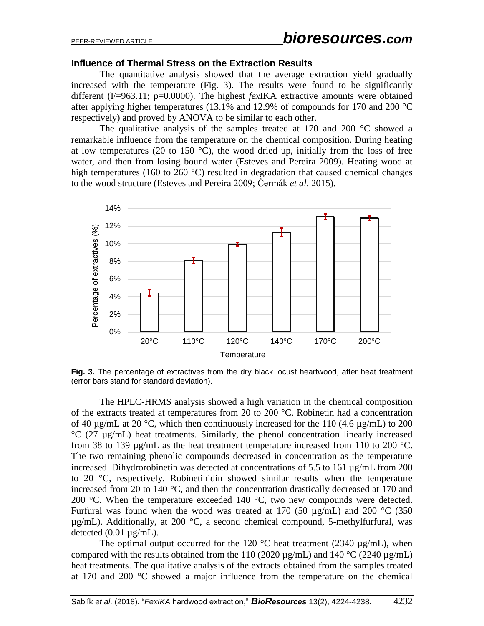#### **Influence of Thermal Stress on the Extraction Results**

The quantitative analysis showed that the average extraction yield gradually increased with the temperature (Fig. 3). The results were found to be significantly different (F=963.11; p=0.0000). The highest *fex*IKA extractive amounts were obtained after applying higher temperatures (13.1% and 12.9% of compounds for 170 and 200 °C respectively) and proved by ANOVA to be similar to each other.

The qualitative analysis of the samples treated at 170 and 200  $\degree$ C showed a remarkable influence from the temperature on the chemical composition. During heating at low temperatures (20 to 150  $^{\circ}$ C), the wood dried up, initially from the loss of free water, and then from losing bound water (Esteves and Pereira 2009). Heating wood at high temperatures (160 to 260  $^{\circ}$ C) resulted in degradation that caused chemical changes to the wood structure (Esteves and Pereira 2009; Čermák *et al*. 2015).



**Fig. 3.** The percentage of extractives from the dry black locust heartwood, after heat treatment (error bars stand for standard deviation).

The HPLC-HRMS analysis showed a high variation in the chemical composition of the extracts treated at temperatures from 20 to 200 °C. Robinetin had a concentration of 40  $\mu$ g/mL at 20 °C, which then continuously increased for the 110 (4.6  $\mu$ g/mL) to 200 °C (27 µg/mL) heat treatments. Similarly, the phenol concentration linearly increased from 38 to 139  $\mu$ g/mL as the heat treatment temperature increased from 110 to 200 °C. The two remaining phenolic compounds decreased in concentration as the temperature increased. Dihydrorobinetin was detected at concentrations of 5.5 to 161 µg/mL from 200 to 20 °C, respectively. Robinetinidin showed similar results when the temperature increased from 20 to 140 °C, and then the concentration drastically decreased at 170 and 200 °C. When the temperature exceeded 140 °C, two new compounds were detected. Furfural was found when the wood was treated at 170 (50  $\mu$ g/mL) and 200 °C (350 µg/mL). Additionally, at 200 °C, a second chemical compound, 5-methylfurfural, was detected  $(0.01 \mu g/mL)$ .

The optimal output occurred for the 120  $^{\circ}$ C heat treatment (2340 µg/mL), when compared with the results obtained from the 110 (2020  $\mu$ g/mL) and 140 °C (2240  $\mu$ g/mL) heat treatments. The qualitative analysis of the extracts obtained from the samples treated at 170 and 200 °C showed a major influence from the temperature on the chemical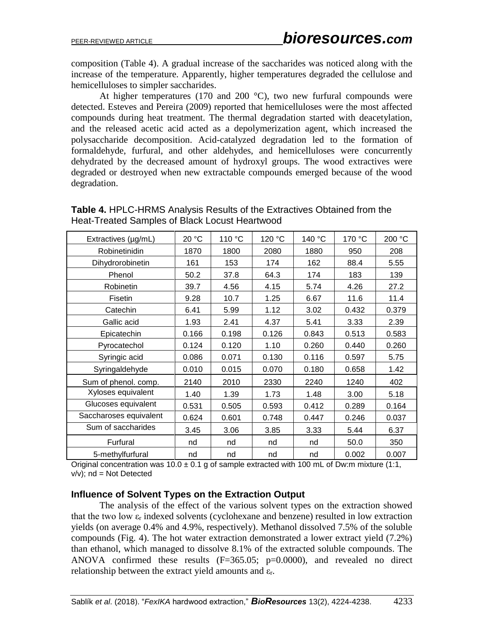composition (Table 4). A gradual increase of the saccharides was noticed along with the increase of the temperature. Apparently, higher temperatures degraded the cellulose and hemicelluloses to simpler saccharides.

At higher temperatures (170 and 200  $^{\circ}$ C), two new furfural compounds were detected. Esteves and Pereira (2009) reported that hemicelluloses were the most affected compounds during heat treatment. The thermal degradation started with deacetylation, and the released acetic acid acted as a depolymerization agent, which increased the polysaccharide decomposition. Acid-catalyzed degradation led to the formation of formaldehyde, furfural, and other aldehydes, and hemicelluloses were concurrently dehydrated by the decreased amount of hydroxyl groups. The wood extractives were degraded or destroyed when new extractable compounds emerged because of the wood degradation.

**Table 4.** HPLC-HRMS Analysis Results of the Extractives Obtained from the Heat-Treated Samples of Black Locust Heartwood

| Extractives (µg/mL)    | 20 °C | 110 °C | 120 °C | 140 °C | 170 °C | 200 °C |
|------------------------|-------|--------|--------|--------|--------|--------|
| Robinetinidin          | 1870  | 1800   | 2080   | 1880   | 950    | 208    |
| Dihydrorobinetin       | 161   | 153    | 174    | 162    | 88.4   | 5.55   |
| Phenol                 | 50.2  | 37.8   | 64.3   | 174    | 183    | 139    |
| Robinetin              | 39.7  | 4.56   | 4.15   | 5.74   | 4.26   | 27.2   |
| <b>Fisetin</b>         | 9.28  | 10.7   | 1.25   | 6.67   | 11.6   | 11.4   |
| Catechin               | 6.41  | 5.99   | 1.12   | 3.02   | 0.432  | 0.379  |
| Gallic acid            | 1.93  | 2.41   | 4.37   | 5.41   | 3.33   | 2.39   |
| Epicatechin            | 0.166 | 0.198  | 0.126  | 0.843  | 0.513  | 0.583  |
| Pyrocatechol           | 0.124 | 0.120  | 1.10   | 0.260  | 0.440  | 0.260  |
| Syringic acid          | 0.086 | 0.071  | 0.130  | 0.116  | 0.597  | 5.75   |
| Syringaldehyde         | 0.010 | 0.015  | 0.070  | 0.180  | 0.658  | 1.42   |
| Sum of phenol. comp.   | 2140  | 2010   | 2330   | 2240   | 1240   | 402    |
| Xyloses equivalent     | 1.40  | 1.39   | 1.73   | 1.48   | 3.00   | 5.18   |
| Glucoses equivalent    | 0.531 | 0.505  | 0.593  | 0.412  | 0.289  | 0.164  |
| Saccharoses equivalent | 0.624 | 0.601  | 0.748  | 0.447  | 0.246  | 0.037  |
| Sum of saccharides     | 3.45  | 3.06   | 3.85   | 3.33   | 5.44   | 6.37   |
| Furfural               | nd    | nd     | nd     | nd     | 50.0   | 350    |
| 5-methylfurfural       | nd    | nd     | nd     | nd     | 0.002  | 0.007  |

Original concentration was  $10.0 \pm 0.1$  g of sample extracted with 100 mL of Dw:m mixture (1:1,  $v/v$ ; nd = Not Detected

#### **Influence of Solvent Types on the Extraction Output**

The analysis of the effect of the various solvent types on the extraction showed that the two low  $\varepsilon_r$  indexed solvents (cyclohexane and benzene) resulted in low extraction yields (on average 0.4% and 4.9%, respectively). Methanol dissolved 7.5% of the soluble compounds (Fig. 4). The hot water extraction demonstrated a lower extract yield (7.2%) than ethanol, which managed to dissolve 8.1% of the extracted soluble compounds. The ANOVA confirmed these results  $(F=365.05; p=0.0000)$ , and revealed no direct relationship between the extract yield amounts and εr.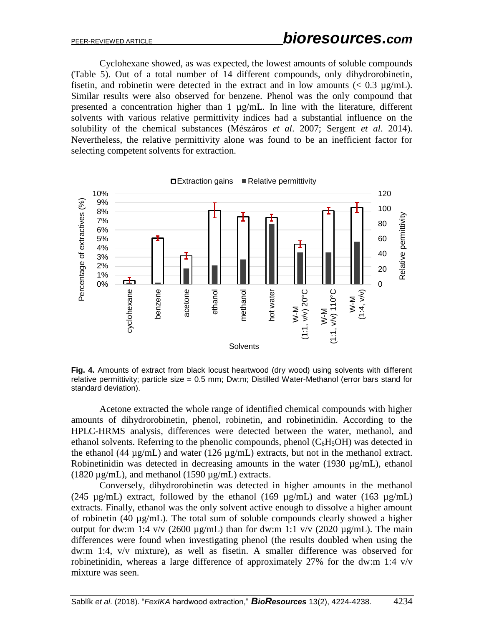Cyclohexane showed, as was expected, the lowest amounts of soluble compounds (Table 5). Out of a total number of 14 different compounds, only dihydrorobinetin, fisetin, and robinetin were detected in the extract and in low amounts  $(< 0.3 \text{ µg/mL})$ . Similar results were also observed for benzene. Phenol was the only compound that presented a concentration higher than  $1 \mu g/mL$ . In line with the literature, different solvents with various relative permittivity indices had a substantial influence on the solubility of the chemical substances (Mészáros *et al*. 2007; Sergent *et al*. 2014). Nevertheless, the relative permittivity alone was found to be an inefficient factor for selecting competent solvents for extraction.



**Fig. 4.** Amounts of extract from black locust heartwood (dry wood) using solvents with different relative permittivity; particle size = 0.5 mm; Dw:m; Distilled Water-Methanol (error bars stand for standard deviation).

Acetone extracted the whole range of identified chemical compounds with higher amounts of dihydrorobinetin, phenol, robinetin, and robinetinidin. According to the HPLC-HRMS analysis, differences were detected between the water, methanol, and ethanol solvents. Referring to the phenolic compounds, phenol  $(C_6H_5OH)$  was detected in the ethanol (44  $\mu$ g/mL) and water (126  $\mu$ g/mL) extracts, but not in the methanol extract. Robinetinidin was detected in decreasing amounts in the water (1930  $\mu$ g/mL), ethanol (1820  $\mu$ g/mL), and methanol (1590  $\mu$ g/mL) extracts.

Conversely, dihydrorobinetin was detected in higher amounts in the methanol (245  $\mu$ g/mL) extract, followed by the ethanol (169  $\mu$ g/mL) and water (163  $\mu$ g/mL) extracts. Finally, ethanol was the only solvent active enough to dissolve a higher amount of robinetin (40 µg/mL). The total sum of soluble compounds clearly showed a higher output for dw:m 1:4 v/v (2600  $\mu$ g/mL) than for dw:m 1:1 v/v (2020  $\mu$ g/mL). The main differences were found when investigating phenol (the results doubled when using the dw:m 1:4, v/v mixture), as well as fisetin. A smaller difference was observed for robinetinidin, whereas a large difference of approximately 27% for the dw:m 1:4 v/v mixture was seen.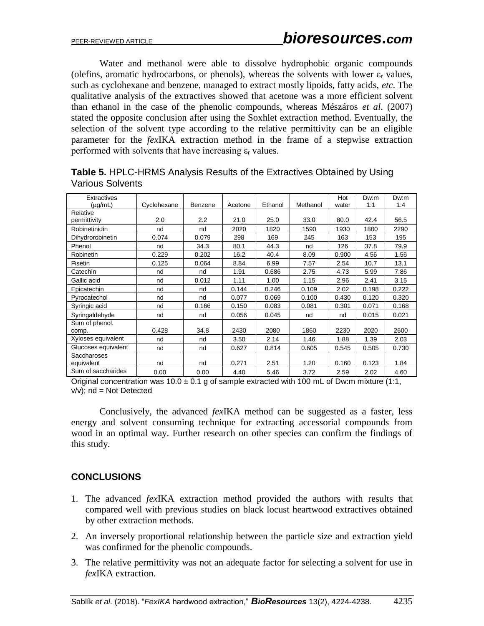Water and methanol were able to dissolve hydrophobic organic compounds (olefins, aromatic hydrocarbons, or phenols), whereas the solvents with lower  $\varepsilon_r$  values, such as cyclohexane and benzene, managed to extract mostly lipoids, fatty acids, *etc*. The qualitative analysis of the extractives showed that acetone was a more efficient solvent than ethanol in the case of the phenolic compounds, whereas Mészáros *et al*. (2007) stated the opposite conclusion after using the Soxhlet extraction method. Eventually, the selection of the solvent type according to the relative permittivity can be an eligible parameter for the *fex*IKA extraction method in the frame of a stepwise extraction performed with solvents that have increasing  $\varepsilon_r$  values.

| <b>Extractives</b>  |             |         |         |         |          | Hot   | Dw:m  | Dw:m  |
|---------------------|-------------|---------|---------|---------|----------|-------|-------|-------|
| (µg/mL)             | Cyclohexane | Benzene | Acetone | Ethanol | Methanol | water | 1:1   | 1:4   |
| Relative            |             |         |         |         |          |       |       |       |
| permittivity        | 2.0         | $2.2\,$ | 21.0    | 25.0    | 33.0     | 80.0  | 42.4  | 56.5  |
| Robinetinidin       | nd          | nd      | 2020    | 1820    | 1590     | 1930  | 1800  | 2290  |
| Dihydrorobinetin    | 0.074       | 0.079   | 298     | 169     | 245      | 163   | 153   | 195   |
| Phenol              | nd          | 34.3    | 80.1    | 44.3    | nd       | 126   | 37.8  | 79.9  |
| Robinetin           | 0.229       | 0.202   | 16.2    | 40.4    | 8.09     | 0.900 | 4.56  | 1.56  |
| Fisetin             | 0.125       | 0.064   | 8.84    | 6.99    | 7.57     | 2.54  | 10.7  | 13.1  |
| Catechin            | nd          | nd      | 1.91    | 0.686   | 2.75     | 4.73  | 5.99  | 7.86  |
| Gallic acid         | nd          | 0.012   | 1.11    | 1.00    | 1.15     | 2.96  | 2.41  | 3.15  |
| Epicatechin         | nd          | nd      | 0.144   | 0.246   | 0.109    | 2.02  | 0.198 | 0.222 |
| Pyrocatechol        | nd          | nd      | 0.077   | 0.069   | 0.100    | 0.430 | 0.120 | 0.320 |
| Syringic acid       | nd          | 0.166   | 0.150   | 0.083   | 0.081    | 0.301 | 0.071 | 0.168 |
| Syringaldehyde      | nd          | nd      | 0.056   | 0.045   | nd       | nd    | 0.015 | 0.021 |
| Sum of phenol.      |             |         |         |         |          |       |       |       |
| comp.               | 0.428       | 34.8    | 2430    | 2080    | 1860     | 2230  | 2020  | 2600  |
| Xyloses equivalent  | nd          | nd      | 3.50    | 2.14    | 1.46     | 1.88  | 1.39  | 2.03  |
| Glucoses equivalent | nd          | nd      | 0.627   | 0.814   | 0.605    | 0.545 | 0.505 | 0.730 |
| Saccharoses         |             |         |         |         |          |       |       |       |
| equivalent          | nd          | nd      | 0.271   | 2.51    | 1.20     | 0.160 | 0.123 | 1.84  |
| Sum of saccharides  | 0.00        | 0.00    | 4.40    | 5.46    | 3.72     | 2.59  | 2.02  | 4.60  |

**Table 5.** HPLC-HRMS Analysis Results of the Extractives Obtained by Using Various Solvents

Original concentration was  $10.0 \pm 0.1$  g of sample extracted with 100 mL of Dw:m mixture (1:1,  $v/v$ ; nd = Not Detected

Conclusively, the advanced *fex*IKA method can be suggested as a faster, less energy and solvent consuming technique for extracting accessorial compounds from wood in an optimal way. Further research on other species can confirm the findings of this study.

# **CONCLUSIONS**

- 1. The advanced *fex*IKA extraction method provided the authors with results that compared well with previous studies on black locust heartwood extractives obtained by other extraction methods.
- 2. An inversely proportional relationship between the particle size and extraction yield was confirmed for the phenolic compounds.
- 3. The relative permittivity was not an adequate factor for selecting a solvent for use in *fex*IKA extraction.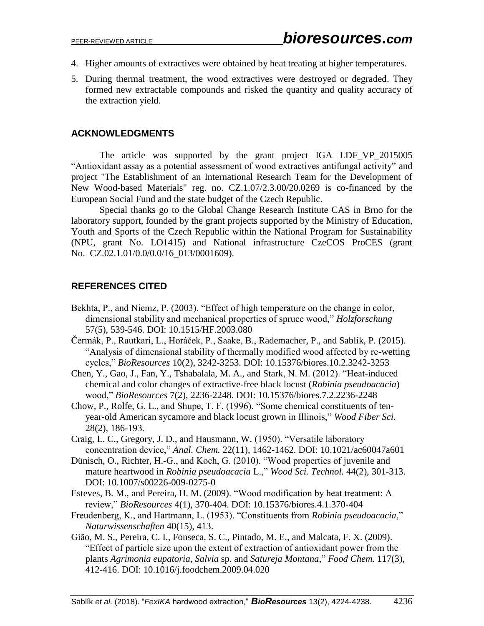- 4. Higher amounts of extractives were obtained by heat treating at higher temperatures.
- 5. During thermal treatment, the wood extractives were destroyed or degraded. They formed new extractable compounds and risked the quantity and quality accuracy of the extraction yield.

### **ACKNOWLEDGMENTS**

The article was supported by the grant project IGA LDF\_VP\_2015005 "Antioxidant assay as a potential assessment of wood extractives antifungal activity" and project "The Establishment of an International Research Team for the Development of New Wood-based Materials" reg. no. CZ.1.07/2.3.00/20.0269 is co-financed by the European Social Fund and the state budget of the Czech Republic.

Special thanks go to the Global Change Research Institute CAS in Brno for the laboratory support, founded by the grant projects supported by the Ministry of Education, Youth and Sports of the Czech Republic within the National Program for Sustainability (NPU, grant No. LO1415) and National infrastructure CzeCOS ProCES (grant No. CZ.02.1.01/0.0/0.0/16 013/0001609).

# **REFERENCES CITED**

- Bekhta, P., and Niemz, P. (2003). "Effect of high temperature on the change in color, dimensional stability and mechanical properties of spruce wood," *Holzforschung* 57(5), 539-546. DOI: 10.1515/HF.2003.080
- Čermák, P., Rautkari, L., Horáček, P., Saake, B., Rademacher, P., and Sablík, P. (2015). "Analysis of dimensional stability of thermally modified wood affected by re-wetting cycles," *BioResources* 10(2), 3242-3253. DOI: 10.15376/biores.10.2.3242-3253
- Chen, Y., Gao, J., Fan, Y., Tshabalala, M. A., and Stark, N. M. (2012). "Heat-induced chemical and color changes of extractive-free black locust (*Robinia pseudoacacia*) wood," *BioResources* 7(2), 2236-2248. DOI: 10.15376/biores.7.2.2236-2248
- Chow, P., Rolfe, G. L., and Shupe, T. F. (1996). "Some chemical constituents of tenyear-old American sycamore and black locust grown in Illinois," *Wood Fiber Sci.* 28(2), 186-193.
- Craig, L. C., Gregory, J. D., and Hausmann, W. (1950). "Versatile laboratory concentration device," *Anal. Chem.* 22(11), 1462-1462. DOI: 10.1021/ac60047a601
- Dünisch, O., Richter, H.-G., and Koch, G. (2010). "Wood properties of juvenile and mature heartwood in *Robinia pseudoacacia* L.," *Wood Sci. Technol.* 44(2), 301-313. DOI: 10.1007/s00226-009-0275-0
- Esteves, B. M., and Pereira, H. M. (2009). "Wood modification by heat treatment: A review," *BioResources* 4(1), 370-404. DOI: 10.15376/biores.4.1.370-404
- Freudenberg, K., and Hartmann, L. (1953). "Constituents from *Robinia pseudoacacia*," *Naturwissenschaften* 40(15), 413.
- Gião, M. S., Pereira, C. I., Fonseca, S. C., Pintado, M. E., and Malcata, F. X. (2009). "Effect of particle size upon the extent of extraction of antioxidant power from the plants *Agrimonia eupatoria*, *Salvia* sp. and *Satureja Montana*," *Food Chem.* 117(3), 412-416. DOI: 10.1016/j.foodchem.2009.04.020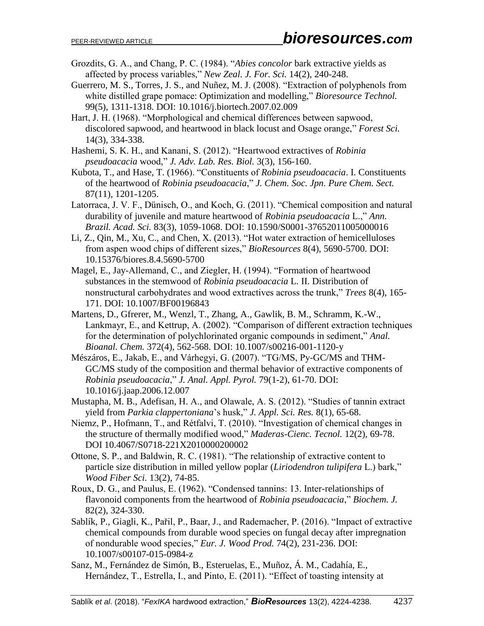- Grozdits, G. A., and Chang, P. C. (1984). "*Abies concolor* bark extractive yields as affected by process variables," *New Zeal. J. For. Sci.* 14(2), 240-248.
- Guerrero, M. S., Torres, J. S., and Nuñez, M. J. (2008). "Extraction of polyphenols from white distilled grape pomace: Optimization and modelling," *Bioresource Technol.* 99(5), 1311-1318. DOI: 10.1016/j.biortech.2007.02.009
- Hart, J. H. (1968). "Morphological and chemical differences between sapwood, discolored sapwood, and heartwood in black locust and Osage orange," *Forest Sci.* 14(3), 334-338.
- Hashemi, S. K. H., and Kanani, S. (2012). "Heartwood extractives of *Robinia pseudoacacia* wood," *J. Adv. Lab. Res. Biol.* 3(3), 156-160.
- Kubota, T., and Hase, T. (1966). "Constituents of *Robinia pseudoacacia*. I. Constituents of the heartwood of *Robinia pseudoacacia*," *J. Chem. Soc. Jpn. Pure Chem. Sect.* 87(11), 1201-1205.
- Latorraca, J. V. F., Dünisch, O., and Koch, G. (2011). "Chemical composition and natural durability of juvenile and mature heartwood of *Robinia pseudoacacia* L.," *Ann. Brazil. Acad. Sci.* 83(3), 1059-1068. DOI: 10.1590/S0001-37652011005000016
- Li, Z., Qin, M., Xu, C., and Chen, X. (2013). "Hot water extraction of hemicelluloses from aspen wood chips of different sizes," *BioResources* 8(4), 5690-5700. DOI: 10.15376/biores.8.4.5690-5700
- Magel, E., Jay-Allemand, C., and Ziegler, H. (1994). "Formation of heartwood substances in the stemwood of *Robinia pseudoacacia* L. II. Distribution of nonstructural carbohydrates and wood extractives across the trunk," *Trees* 8(4), 165- 171. DOI: 10.1007/BF00196843
- Martens, D., Gfrerer, M., Wenzl, T., Zhang, A., Gawlik, B. M., Schramm, K.-W., Lankmayr, E., and Kettrup, A. (2002). "Comparison of different extraction techniques for the determination of polychlorinated organic compounds in sediment," *Anal. Bioanal. Chem.* 372(4), 562-568. DOI: 10.1007/s00216-001-1120-y
- Mészáros, E., Jakab, E., and Várhegyi, G. (2007). "TG/MS, Py-GC/MS and THM-GC/MS study of the composition and thermal behavior of extractive components of *Robinia pseudoacacia*," *J. Anal. Appl. Pyrol.* 79(1-2), 61-70. DOI: 10.1016/j.jaap.2006.12.007
- Mustapha, M. B., Adefisan, H. A., and Olawale, A. S. (2012). "Studies of tannin extract yield from *Parkia clappertoniana*'s husk," *J. Appl. Sci. Res.* 8(1), 65-68.
- Niemz, P., Hofmann, T., and Rétfalvi, T. (2010). "Investigation of chemical changes in the structure of thermally modified wood," *Maderas-Cienc. Tecnol.* 12(2), 69-78. DOI 10.4067/S0718-221X2010000200002
- Ottone, S. P., and Baldwin, R. C. (1981). "The relationship of extractive content to particle size distribution in milled yellow poplar (*Liriodendron tulipifera* L.) bark," *Wood Fiber Sci.* 13(2), 74-85.
- Roux, D. G., and Paulus, E. (1962). "Condensed tannins: 13. Inter-relationships of flavonoid components from the heartwood of *Robinia pseudoacacia*," *Biochem. J.* 82(2), 324-330.
- Sablík, P., Giagli, K., Pařil, P., Baar, J., and Rademacher, P. (2016). "Impact of extractive chemical compounds from durable wood species on fungal decay after impregnation of nondurable wood species," *Eur. J. Wood Prod.* 74(2), 231-236. DOI: 10.1007/s00107-015-0984-z
- Sanz, M., Fernández de Simón, B., Esteruelas, E., Muñoz, Á. M., Cadahía, E., Hernández, T., Estrella, I., and Pinto, E. (2011). "Effect of toasting intensity at